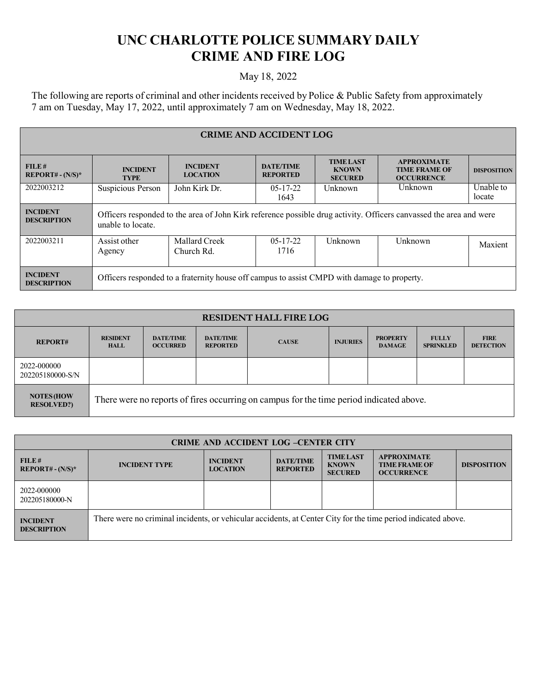## **UNC CHARLOTTE POLICE SUMMARY DAILY CRIME AND FIRE LOG**

## May 18, 2022

The following are reports of criminal and other incidents received by Police & Public Safety from approximately 7 am on Tuesday, May 17, 2022, until approximately 7 am on Wednesday, May 18, 2022.

| <b>CRIME AND ACCIDENT LOG</b>         |                                                                                                                                         |                                                                                             |                                     |                                                    |                                                                 |                     |
|---------------------------------------|-----------------------------------------------------------------------------------------------------------------------------------------|---------------------------------------------------------------------------------------------|-------------------------------------|----------------------------------------------------|-----------------------------------------------------------------|---------------------|
| FILE#<br>$REPORT# - (N/S)*$           | <b>INCIDENT</b><br><b>TYPE</b>                                                                                                          | <b>INCIDENT</b><br><b>LOCATION</b>                                                          | <b>DATE/TIME</b><br><b>REPORTED</b> | <b>TIME LAST</b><br><b>KNOWN</b><br><b>SECURED</b> | <b>APPROXIMATE</b><br><b>TIME FRAME OF</b><br><b>OCCURRENCE</b> | <b>DISPOSITION</b>  |
| 2022003212                            | Suspicious Person                                                                                                                       | John Kirk Dr.                                                                               | $05 - 17 - 22$<br>1643              | Unknown                                            | Unknown                                                         | Unable to<br>locate |
| <b>INCIDENT</b><br><b>DESCRIPTION</b> | Officers responded to the area of John Kirk reference possible drug activity. Officers canvassed the area and were<br>unable to locate. |                                                                                             |                                     |                                                    |                                                                 |                     |
| 2022003211                            | Assist other<br>Agency                                                                                                                  | Mallard Creek<br>Church Rd.                                                                 | $05 - 17 - 22$<br>1716              | Unknown                                            | Unknown                                                         | Maxient             |
| <b>INCIDENT</b><br><b>DESCRIPTION</b> |                                                                                                                                         | Officers responded to a fraternity house off campus to assist CMPD with damage to property. |                                     |                                                    |                                                                 |                     |

| <b>RESIDENT HALL FIRE LOG</b>          |                                                                                         |                                     |                                     |              |                 |                                  |                                  |                                 |
|----------------------------------------|-----------------------------------------------------------------------------------------|-------------------------------------|-------------------------------------|--------------|-----------------|----------------------------------|----------------------------------|---------------------------------|
| <b>REPORT#</b>                         | <b>RESIDENT</b><br><b>HALL</b>                                                          | <b>DATE/TIME</b><br><b>OCCURRED</b> | <b>DATE/TIME</b><br><b>REPORTED</b> | <b>CAUSE</b> | <b>INJURIES</b> | <b>PROPERTY</b><br><b>DAMAGE</b> | <b>FULLY</b><br><b>SPRINKLED</b> | <b>FIRE</b><br><b>DETECTION</b> |
| 2022-000000<br>202205180000-S/N        |                                                                                         |                                     |                                     |              |                 |                                  |                                  |                                 |
| <b>NOTES (HOW</b><br><b>RESOLVED?)</b> | There were no reports of fires occurring on campus for the time period indicated above. |                                     |                                     |              |                 |                                  |                                  |                                 |

| <b>CRIME AND ACCIDENT LOG -CENTER CITY</b> |                                                                                                               |                                    |                                     |                                                    |                                                                 |                    |
|--------------------------------------------|---------------------------------------------------------------------------------------------------------------|------------------------------------|-------------------------------------|----------------------------------------------------|-----------------------------------------------------------------|--------------------|
| FILE#<br>$REPORT# - (N/S)*$                | <b>INCIDENT TYPE</b>                                                                                          | <b>INCIDENT</b><br><b>LOCATION</b> | <b>DATE/TIME</b><br><b>REPORTED</b> | <b>TIME LAST</b><br><b>KNOWN</b><br><b>SECURED</b> | <b>APPROXIMATE</b><br><b>TIME FRAME OF</b><br><b>OCCURRENCE</b> | <b>DISPOSITION</b> |
| 2022-000000<br>202205180000-N              |                                                                                                               |                                    |                                     |                                                    |                                                                 |                    |
| <b>INCIDENT</b><br><b>DESCRIPTION</b>      | There were no criminal incidents, or vehicular accidents, at Center City for the time period indicated above. |                                    |                                     |                                                    |                                                                 |                    |